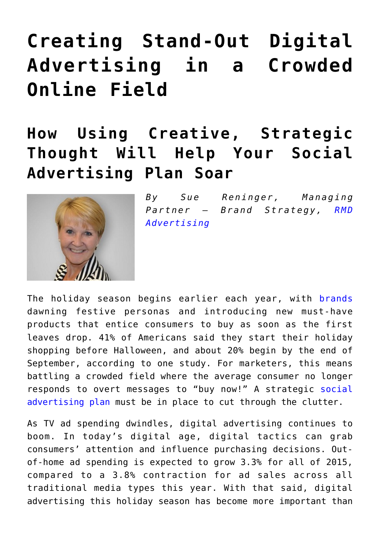## **[Creating Stand-Out Digital](https://www.commpro.biz/creating-stand-out-digital-advertising-in-a-crowded-online-field/) [Advertising in a Crowded](https://www.commpro.biz/creating-stand-out-digital-advertising-in-a-crowded-online-field/) [Online Field](https://www.commpro.biz/creating-stand-out-digital-advertising-in-a-crowded-online-field/)**

## **How Using Creative, Strategic Thought Will Help Your Social Advertising Plan Soar**



*By Sue Reninger, Managing Partner – Brand Strategy, [RMD](https://www.rmdadvertising.com/index.php) [Advertising](https://www.rmdadvertising.com/index.php)*

The holiday season begins earlier each year, with [brands](https://www.commpro.biz/?s=brands) dawning festive personas and introducing new must-have products that entice consumers to buy as soon as the first leaves drop. 41% of Americans said they start their holiday shopping before Halloween, and about 20% begin by the end of September, according to one study. For marketers, this means battling a crowded field where the average consumer no longer responds to overt messages to "buy now!" A strategic [social](https://contentmarketinginstitute.com/2013/10/amplify-content-strategy-social-media-advertising/) [advertising plan](https://contentmarketinginstitute.com/2013/10/amplify-content-strategy-social-media-advertising/) must be in place to cut through the clutter.

As TV ad spending dwindles, digital advertising continues to boom. In today's digital age, digital tactics can grab consumers' attention and influence purchasing decisions. Outof-home ad spending is expected to grow 3.3% for all of 2015, compared to a 3.8% contraction for ad sales across all traditional media types this year. With that said, digital advertising this holiday season has become more important than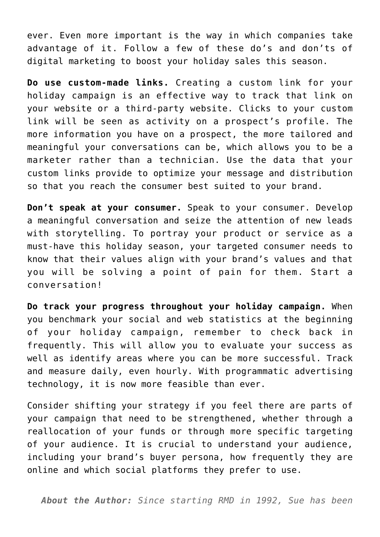ever. Even more important is the way in which companies take advantage of it. Follow a few of these do's and don'ts of digital marketing to boost your holiday sales this season.

**Do use custom-made links.** Creating a custom link for your holiday campaign is an effective way to track that link on your website or a third-party website. Clicks to your custom link will be seen as activity on a prospect's profile. The more information you have on a prospect, the more tailored and meaningful your conversations can be, which allows you to be a marketer rather than a technician. Use the data that your custom links provide to optimize your message and distribution so that you reach the consumer best suited to your brand.

**Don't speak at your consumer.** Speak to your consumer. Develop a meaningful conversation and seize the attention of new leads with storytelling. To portray your product or service as a must-have this holiday season, your targeted consumer needs to know that their values align with your brand's values and that you will be solving a point of pain for them. Start a conversation!

**Do track your progress throughout your holiday campaign.** When you benchmark your social and web statistics at the beginning of your holiday campaign, remember to check back in frequently. This will allow you to evaluate your success as well as identify areas where you can be more successful. Track and measure daily, even hourly. With programmatic advertising technology, it is now more feasible than ever.

Consider shifting your strategy if you feel there are parts of your campaign that need to be strengthened, whether through a reallocation of your funds or through more specific targeting of your audience. It is crucial to understand your audience, including your brand's buyer persona, how frequently they are online and which social platforms they prefer to use.

*About the Author: Since starting RMD in 1992, Sue has been*